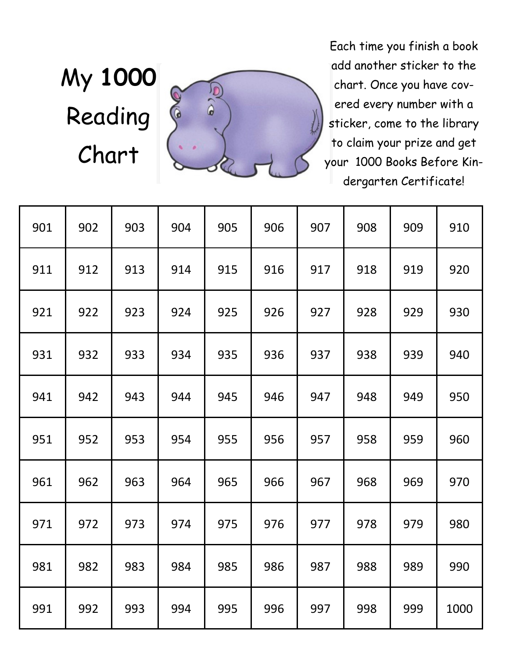## My **1000**  Reading Chart



Each time you finish a book add another sticker to the chart. Once you have covered every number with a sticker, come to the library to claim your prize and get your 1000 Books Before Kindergarten Certificate!

| 901 | 902 | 903 | 904 | 905 | 906 | 907 | 908 | 909 | 910  |
|-----|-----|-----|-----|-----|-----|-----|-----|-----|------|
| 911 | 912 | 913 | 914 | 915 | 916 | 917 | 918 | 919 | 920  |
| 921 | 922 | 923 | 924 | 925 | 926 | 927 | 928 | 929 | 930  |
| 931 | 932 | 933 | 934 | 935 | 936 | 937 | 938 | 939 | 940  |
| 941 | 942 | 943 | 944 | 945 | 946 | 947 | 948 | 949 | 950  |
| 951 | 952 | 953 | 954 | 955 | 956 | 957 | 958 | 959 | 960  |
| 961 | 962 | 963 | 964 | 965 | 966 | 967 | 968 | 969 | 970  |
| 971 | 972 | 973 | 974 | 975 | 976 | 977 | 978 | 979 | 980  |
| 981 | 982 | 983 | 984 | 985 | 986 | 987 | 988 | 989 | 990  |
| 991 | 992 | 993 | 994 | 995 | 996 | 997 | 998 | 999 | 1000 |